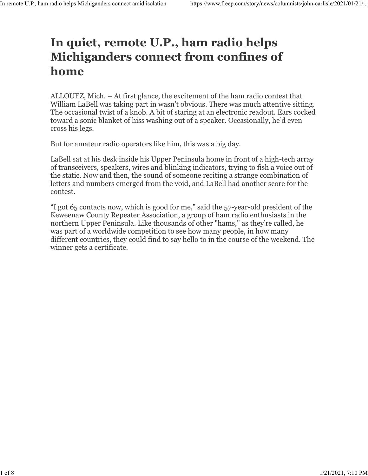## **In quiet, remote U.P., ham radio helps Michiganders connect from confines of home**

ALLOUEZ, Mich. – At first glance, the excitement of the ham radio contest that William LaBell was taking part in wasn't obvious. There was much attentive sitting. The occasional twist of a knob. A bit of staring at an electronic readout. Ears cocked toward a sonic blanket of hiss washing out of a speaker. Occasionally, he'd even cross his legs.

But for amateur radio operators like him, this was a big day.

LaBell sat at his desk inside his Upper Peninsula home in front of a high-tech array of transceivers, speakers, wires and blinking indicators, trying to fish a voice out of the static. Now and then, the sound of someone reciting a strange combination of letters and numbers emerged from the void, and LaBell had another score for the contest.

"I got 65 contacts now, which is good for me," said the 57-year-old president of the Keweenaw County Repeater Association, a group of ham radio enthusiasts in the northern Upper Peninsula. Like thousands of other "hams," as they're called, he was part of a worldwide competition to see how many people, in how many different countries, they could find to say hello to in the course of the weekend. The winner gets a certificate.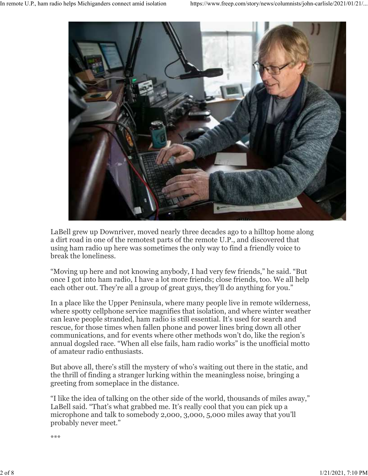

LaBell grew up Downriver, moved nearly three decades ago to a hilltop home along a dirt road in one of the remotest parts of the remote U.P., and discovered that using ham radio up here was sometimes the only way to find a friendly voice to break the loneliness.

"Moving up here and not knowing anybody, I had very few friends," he said. "But once I got into ham radio, I have a lot more friends; close friends, too. We all help each other out. They're all a group of great guys, they'll do anything for you."

In a place like the Upper Peninsula, where many people live in remote wilderness, where spotty cellphone service magnifies that isolation, and where winter weather can leave people stranded, ham radio is still essential. It's used for search and rescue, for those times when fallen phone and power lines bring down all other communications, and for events where other methods won't do, like the region's annual dogsled race. "When all else fails, ham radio works" is the unofficial motto of amateur radio enthusiasts.

But above all, there's still the mystery of who's waiting out there in the static, and the thrill of finding a stranger lurking within the meaningless noise, bringing a greeting from someplace in the distance.

"I like the idea of talking on the other side of the world, thousands of miles away," LaBell said. "That's what grabbed me. It's really cool that you can pick up a microphone and talk to somebody 2,000, 3,000, 5,000 miles away that you'll probably never meet."

\*\*\*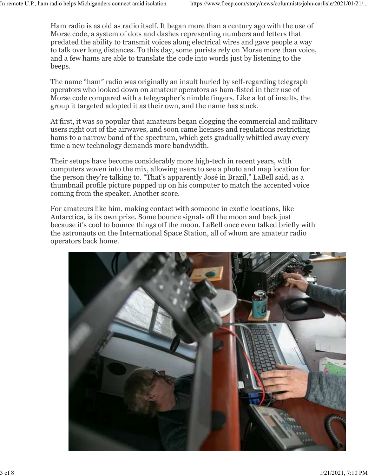Ham radio is as old as radio itself. It began more than a century ago with the use of Morse code, a system of dots and dashes representing numbers and letters that predated the ability to transmit voices along electrical wires and gave people a way to talk over long distances. To this day, some purists rely on Morse more than voice, and a few hams are able to translate the code into words just by listening to the beeps.

The name "ham" radio was originally an insult hurled by self-regarding telegraph operators who looked down on amateur operators as ham-fisted in their use of Morse code compared with a telegrapher's nimble fingers. Like a lot of insults, the group it targeted adopted it as their own, and the name has stuck.

At first, it was so popular that amateurs began clogging the commercial and military users right out of the airwaves, and soon came licenses and regulations restricting hams to a narrow band of the spectrum, which gets gradually whittled away every time a new technology demands more bandwidth.

Their setups have become considerably more high-tech in recent years, with computers woven into the mix, allowing users to see a photo and map location for the person they're talking to. "That's apparently José in Brazil," LaBell said, as a thumbnail profile picture popped up on his computer to match the accented voice coming from the speaker. Another score.

For amateurs like him, making contact with someone in exotic locations, like Antarctica, is its own prize. Some bounce signals off the moon and back just because it's cool to bounce things off the moon. LaBell once even talked briefly with the astronauts on the International Space Station, all of whom are amateur radio operators back home.

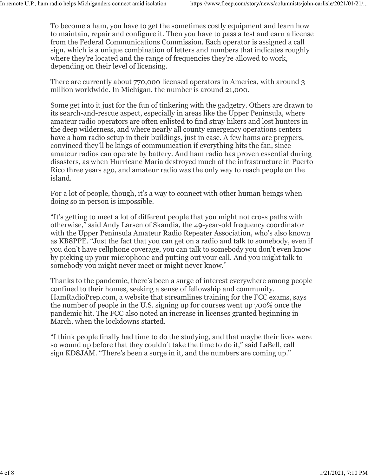To become a ham, you have to get the sometimes costly equipment and learn how to maintain, repair and configure it. Then you have to pass a test and earn a license from the Federal Communications Commission. Each operator is assigned a call sign, which is a unique combination of letters and numbers that indicates roughly where they're located and the range of frequencies they're allowed to work, depending on their level of licensing.

There are currently about 770,000 licensed operators in America, with around 3 million worldwide. In Michigan, the number is around 21,000.

Some get into it just for the fun of tinkering with the gadgetry. Others are drawn to its search-and-rescue aspect, especially in areas like the Upper Peninsula, where amateur radio operators are often enlisted to find stray hikers and lost hunters in the deep wilderness, and where nearly all county emergency operations centers have a ham radio setup in their buildings, just in case. A few hams are preppers, convinced they'll be kings of communication if everything hits the fan, since amateur radios can operate by battery. And ham radio has proven essential during disasters, as when Hurricane Maria destroyed much of the infrastructure in Puerto Rico three years ago, and amateur radio was the only way to reach people on the island.

For a lot of people, though, it's a way to connect with other human beings when doing so in person is impossible.

"It's getting to meet a lot of different people that you might not cross paths with otherwise," said Andy Larsen of Skandia, the 49-year-old frequency coordinator with the Upper Peninsula Amateur Radio Repeater Association, who's also known as KB8PPE. "Just the fact that you can get on a radio and talk to somebody, even if you don't have cellphone coverage, you can talk to somebody you don't even know by picking up your microphone and putting out your call. And you might talk to somebody you might never meet or might never know."

Thanks to the pandemic, there's been a surge of interest everywhere among people confined to their homes, seeking a sense of fellowship and community. HamRadioPrep.com, a website that streamlines training for the FCC exams, says the number of people in the U.S. signing up for courses went up 700% once the pandemic hit. The FCC also noted an increase in licenses granted beginning in March, when the lockdowns started.

"I think people finally had time to do the studying, and that maybe their lives were so wound up before that they couldn't take the time to do it," said LaBell, call sign KD8JAM. "There's been a surge in it, and the numbers are coming up."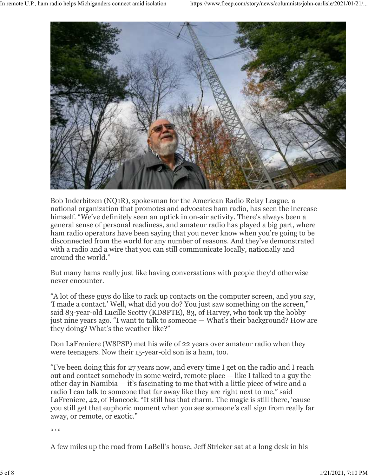

Bob Inderbitzen (NQ1R), spokesman for the American Radio Relay League, a national organization that promotes and advocates ham radio, has seen the increase himself. "We've definitely seen an uptick in on-air activity. There's always been a general sense of personal readiness, and amateur radio has played a big part, where ham radio operators have been saying that you never know when you're going to be disconnected from the world for any number of reasons. And they've demonstrated with a radio and a wire that you can still communicate locally, nationally and around the world."

But many hams really just like having conversations with people they'd otherwise never encounter.

"A lot of these guys do like to rack up contacts on the computer screen, and you say, 'I made a contact.' Well, what did you do? You just saw something on the screen," said 83-year-old Lucille Scotty (KD8PTE), 83, of Harvey, who took up the hobby just nine years ago. "I want to talk to someone — What's their background? How are they doing? What's the weather like?"

Don LaFreniere (W8PSP) met his wife of 22 years over amateur radio when they were teenagers. Now their 15-year-old son is a ham, too.

"I've been doing this for 27 years now, and every time I get on the radio and I reach out and contact somebody in some weird, remote place — like I talked to a guy the other day in Namibia — it's fascinating to me that with a little piece of wire and a radio I can talk to someone that far away like they are right next to me," said LaFreniere, 42, of Hancock. "It still has that charm. The magic is still there, 'cause you still get that euphoric moment when you see someone's call sign from really far away, or remote, or exotic."

\*\*\*

A few miles up the road from LaBell's house, Jeff Stricker sat at a long desk in his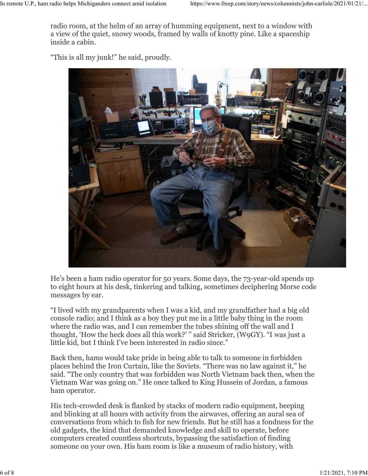radio room, at the helm of an array of humming equipment, next to a window with a view of the quiet, snowy woods, framed by walls of knotty pine. Like a spaceship inside a cabin.

"This is all my junk!" he said, proudly.



He's been a ham radio operator for 50 years. Some days, the 73-year-old spends up to eight hours at his desk, tinkering and talking, sometimes deciphering Morse code messages by ear.

"I lived with my grandparents when I was a kid, and my grandfather had a big old console radio; and I think as a boy they put me in a little baby thing in the room where the radio was, and I can remember the tubes shining off the wall and I thought, 'How the heck does all this work?' " said Stricker, (W9GY). "I was just a little kid, but I think I've been interested in radio since."

Back then, hams would take pride in being able to talk to someone in forbidden places behind the Iron Curtain, like the Soviets. "There was no law against it," he said. "The only country that was forbidden was North Vietnam back then, when the Vietnam War was going on." He once talked to King Hussein of Jordan, a famous ham operator.

His tech-crowded desk is flanked by stacks of modern radio equipment, beeping and blinking at all hours with activity from the airwaves, offering an aural sea of conversations from which to fish for new friends. But he still has a fondness for the old gadgets, the kind that demanded knowledge and skill to operate, before computers created countless shortcuts, bypassing the satisfaction of finding someone on your own. His ham room is like a museum of radio history, with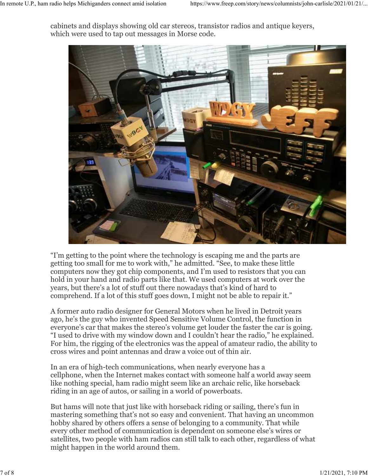cabinets and displays showing old car stereos, transistor radios and antique keyers, which were used to tap out messages in Morse code.



"I'm getting to the point where the technology is escaping me and the parts are getting too small for me to work with," he admitted. "See, to make these little computers now they got chip components, and I'm used to resistors that you can hold in your hand and radio parts like that. We used computers at work over the years, but there's a lot of stuff out there nowadays that's kind of hard to comprehend. If a lot of this stuff goes down, I might not be able to repair it."

A former auto radio designer for General Motors when he lived in Detroit years ago, he's the guy who invented Speed Sensitive Volume Control, the function in everyone's car that makes the stereo's volume get louder the faster the car is going. "I used to drive with my window down and I couldn't hear the radio," he explained. For him, the rigging of the electronics was the appeal of amateur radio, the ability to cross wires and point antennas and draw a voice out of thin air.

In an era of high-tech communications, when nearly everyone has a cellphone, when the Internet makes contact with someone half a world away seem like nothing special, ham radio might seem like an archaic relic, like horseback riding in an age of autos, or sailing in a world of powerboats.

But hams will note that just like with horseback riding or sailing, there's fun in mastering something that's not so easy and convenient. That having an uncommon hobby shared by others offers a sense of belonging to a community. That while every other method of communication is dependent on someone else's wires or satellites, two people with ham radios can still talk to each other, regardless of what might happen in the world around them.